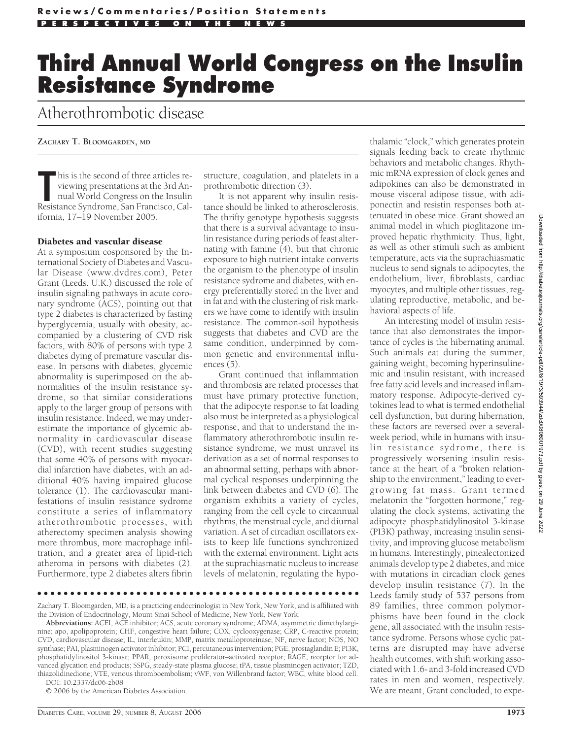# **Third Annual World Congress on the Insulin Resistance Syndrome**

# Atherothrombotic disease

**ZACHARY T. BLOOMGARDEN, MD**

Inis is the second of three articles reviewing presentations at the 3rd Annual World Congress on the Insulin Resistance Syndrome, San Francisco, Calhis is the second of three articles reviewing presentations at the 3rd Annual World Congress on the Insulin ifornia, 17–19 November 2005.

#### Diabetes and vascular disease

At a symposium cosponsored by the International Society of Diabetes and Vascular Disease (www.dvdres.com), Peter Grant (Leeds, U.K.) discussed the role of insulin signaling pathways in acute coronary syndrome (ACS), pointing out that type 2 diabetes is characterized by fasting hyperglycemia, usually with obesity, accompanied by a clustering of CVD risk factors, with 80% of persons with type 2 diabetes dying of premature vascular disease. In persons with diabetes, glycemic abnormality is superimposed on the abnormalities of the insulin resistance sydrome, so that similar considerations apply to the larger group of persons with insulin resistance. Indeed, we may underestimate the importance of glycemic abnormality in cardiovascular disease (CVD), with recent studies suggesting that some 40% of persons with myocardial infarction have diabetes, with an additional 40% having impaired glucose tolerance (1). The cardiovascular manifestations of insulin resistance sydrome constitute a series of inflammatory atherothrombotic processes, with atherectomy specimen analysis showing more thrombus, more macrophage infiltration, and a greater area of lipid-rich atheroma in persons with diabetes (2). Furthermore, type 2 diabetes alters fibrin

structure, coagulation, and platelets in a prothrombotic direction (3).

It is not apparent why insulin resistance should be linked to atherosclerosis. The thrifty genotype hypothesis suggests that there is a survival advantage to insulin resistance during periods of feast alternating with famine (4), but that chronic exposure to high nutrient intake converts the organism to the phenotype of insulin resistance sydrome and diabetes, with energy preferentially stored in the liver and in fat and with the clustering of risk markers we have come to identify with insulin resistance. The common-soil hypothesis suggests that diabetes and CVD are the same condition, underpinned by common genetic and environmental influences (5).

Grant continued that inflammation and thrombosis are related processes that must have primary protective function, that the adipocyte response to fat loading also must be interpreted as a physiological response, and that to understand the inflammatory atherothrombotic insulin resistance syndrome, we must unravel its derivation as a set of normal responses to an abnormal setting, perhaps with abnormal cyclical responses underpinning the link between diabetes and CVD (6). The organism exhibits a variety of cycles, ranging from the cell cycle to circannual rhythms, the menstrual cycle, and diurnal variation. A set of circadian oscillators exists to keep life functions synchronized with the external environment. Light acts at the suprachiasmatic nucleus to increase levels of melatonin, regulating the hypo-

●●●●●●●●●●●●●●●●●●●●●●●●●●●●●●●●●●●●●●●●●●●●●●●●●

Zachary T. Bloomgarden, MD, is a practicing endocrinologist in New York, New York, and is affiliated with the Division of Endocrinology, Mount Sinai School of Medicine, New York, New York.

© 2006 by the American Diabetes Association.

thalamic "clock," which generates protein signals feeding back to create rhythmic behaviors and metabolic changes. Rhythmic mRNA expression of clock genes and adipokines can also be demonstrated in mouse visceral adipose tissue, with adiponectin and resistin responses both attenuated in obese mice. Grant showed an animal model in which pioglitazone improved hepatic rhythmicity. Thus, light, as well as other stimuli such as ambient temperature, acts via the suprachiasmatic nucleus to send signals to adipocytes, the endothelium, liver, fibroblasts, cardiac myocytes, and multiple other tissues, regulating reproductive, metabolic, and behavioral aspects of life.

An interesting model of insulin resistance that also demonstrates the importance of cycles is the hibernating animal. Such animals eat during the summer, gaining weight, becoming hyperinsulinemic and insulin resistant, with increased free fatty acid levels and increased inflammatory response. Adipocyte-derived cytokines lead to what is termed endothelial cell dysfunction, but during hibernation, these factors are reversed over a severalweek period, while in humans with insulin resistance sydrome, there is progressively worsening insulin resistance at the heart of a "broken relationship to the environment," leading to evergrowing fat mass. Grant termed melatonin the "forgotten hormone," regulating the clock systems, activating the adipocyte phosphatidylinositol 3-kinase (PI3K) pathway, increasing insulin sensitivity, and improving glucose metabolism in humans. Interestingly, pinealectonized animals develop type 2 diabetes, and mice with mutations in circadian clock genes develop insulin resistance (7). In the Leeds family study of 537 persons from 89 families, three common polymorphisms have been found in the clock gene, all associated with the insulin resistance sydrome. Persons whose cyclic patterns are disrupted may have adverse health outcomes, with shift working associated with 1.6- and 3-fold increased CVD rates in men and women, respectively. We are meant, Grant concluded, to expe-

**Abbreviations:** ACEI, ACE inhibitor; ACS, acute coronary syndrome; ADMA, asymmetric dimethylarginine; apo, apolipoprotein; CHF, congestive heart failure; COX, cyclooxygenase; CRP, C-reactive protein; CVD, cardiovascular disease; IL, interleukin; MMP, matrix metalloproteinase; NF, nerve factor; NOS, NO synthase; PAI, plasminogen activator inhibitor; PCI, percutaneous intervention; PGE, prostaglandin E; PI3K, phosphatidylinositol 3-kinase; PPAR, peroxisome proliferator–activated receptor; RAGE, receptor for advanced glycation end products; SSPG, steady-state plasma glucose; tPA, tissue plasminogen activator; TZD, thiazolidinedione; VTE, venous thromboembolism; vWF, von Willenbrand factor; WBC, white blood cell. DOI: 10.2337/dc06-zb08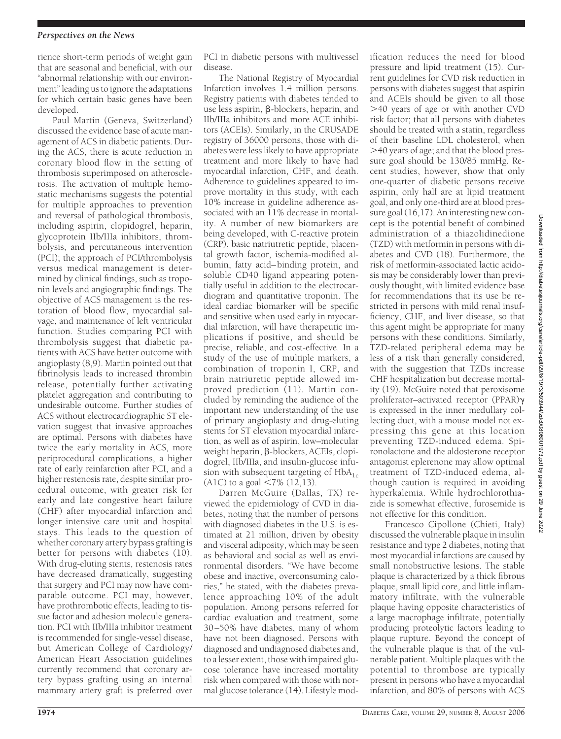rience short-term periods of weight gain that are seasonal and beneficial, with our "abnormal relationship with our environment" leading us to ignore the adaptations for which certain basic genes have been developed.

Paul Martin (Geneva, Switzerland) discussed the evidence base of acute management of ACS in diabetic patients. During the ACS, there is acute reduction in coronary blood flow in the setting of thrombosis superimposed on atherosclerosis. The activation of multiple hemostatic mechanisms suggests the potential for multiple approaches to prevention and reversal of pathological thrombosis, including aspirin, clopidogrel, heparin, glycoprotein IIb/IIIa inhibitors, thrombolysis, and percutaneous intervention (PCI); the approach of PCI/thrombolysis versus medical management is determined by clinical findings, such as troponin levels and angiographic findings. The objective of ACS management is the restoration of blood flow, myocardial salvage, and maintenance of left ventricular function. Studies comparing PCI with thrombolysis suggest that diabetic patients with ACS have better outcome with angioplasty (8,9). Martin pointed out that fibrinolysis leads to increased thrombin release, potentially further activating platelet aggregation and contributing to undesirable outcome. Further studies of ACS without electrocardiographic ST elevation suggest that invasive approaches are optimal. Persons with diabetes have twice the early mortality in ACS, more periprocedural complications, a higher rate of early reinfarction after PCI, and a higher restenosis rate, despite similar procedural outcome, with greater risk for early and late congestive heart failure (CHF) after myocardial infarction and longer intensive care unit and hospital stays. This leads to the question of whether coronary artery bypass grafting is better for persons with diabetes (10). With drug-eluting stents, restenosis rates have decreased dramatically, suggesting that surgery and PCI may now have comparable outcome. PCI may, however, have prothrombotic effects, leading to tissue factor and adhesion molecule generation. PCI with IIb/IIIa inhibitor treatment is recommended for single-vessel disease, but American College of Cardiology/ American Heart Association guidelines currently recommend that coronary artery bypass grafting using an internal mammary artery graft is preferred over

PCI in diabetic persons with multivessel disease.

The National Registry of Myocardial Infarction involves 1.4 million persons. Registry patients with diabetes tended to use less aspirin,  $\beta$ -blockers, heparin, and IIb/IIIa inhibitors and more ACE inhibitors (ACEIs). Similarly, in the CRUSADE registry of 36000 persons, those with diabetes were less likely to have appropriate treatment and more likely to have had myocardial infarction, CHF, and death. Adherence to guidelines appeared to improve mortality in this study, with each 10% increase in guideline adherence associated with an 11% decrease in mortality. A number of new biomarkers are being developed, with C-reactive protein (CRP), basic natriutretic peptide, placental growth factor, ischemia-modified albumin, fatty acid–binding protein, and soluble CD40 ligand appearing potentially useful in addition to the electrocardiogram and quantitative troponin. The ideal cardiac biomarker will be specific and sensitive when used early in myocardial infarction, will have therapeutic implications if positive, and should be precise, reliable, and cost-effective. In a study of the use of multiple markers, a combination of troponin I, CRP, and brain natriuretic peptide allowed improved prediction (11). Martin concluded by reminding the audience of the important new understanding of the use of primary angioplasty and drug-eluting stents for ST elevation myocardial infarction, as well as of aspirin, low–molecular weight heparin,  $\beta$ -blockers, ACEIs, clopidogrel, IIb/IIIa, and insulin-glucose infusion with subsequent targeting of  $HbA_{1c}$  $(A1C)$  to a goal  $\leq 7\%$  (12,13).

Darren McGuire (Dallas, TX) reviewed the epidemiology of CVD in diabetes, noting that the number of persons with diagnosed diabetes in the U.S. is estimated at 21 million, driven by obesity and visceral adiposity, which may be seen as behavioral and social as well as environmental disorders. "We have become obese and inactive, overconsuming calories," he stated, with the diabetes prevalence approaching 10% of the adult population. Among persons referred for cardiac evaluation and treatment, some 30–50% have diabetes, many of whom have not been diagnosed. Persons with diagnosed and undiagnosed diabetes and, to a lesser extent, those with impaired glucose tolerance have increased mortality risk when compared with those with normal glucose tolerance (14). Lifestyle modification reduces the need for blood pressure and lipid treatment (15). Current guidelines for CVD risk reduction in persons with diabetes suggest that aspirin and ACEIs should be given to all those 40 years of age or with another CVD risk factor; that all persons with diabetes should be treated with a statin, regardless of their baseline LDL cholesterol, when 40 years of age; and that the blood pressure goal should be 130/85 mmHg. Recent studies, however, show that only one-quarter of diabetic persons receive aspirin, only half are at lipid treatment goal, and only one-third are at blood pressure goal (16,17). An interesting new concept is the potential benefit of combined administration of a thiazolidinedione (TZD) with metformin in persons with diabetes and CVD (18). Furthermore, the risk of metformin-associated lactic acidosis may be considerably lower than previously thought, with limited evidence base for recommendations that its use be restricted in persons with mild renal insufficiency, CHF, and liver disease, so that this agent might be appropriate for many persons with these conditions. Similarly, TZD-related peripheral edema may be less of a risk than generally considered, with the suggestion that TZDs increase CHF hospitalization but decrease mortality (19). McGuire noted that peroxisome proliferator–activated receptor (PPAR) $\gamma$ is expressed in the inner medullary collecting duct, with a mouse model not expressing this gene at this location preventing TZD-induced edema. Spironolactone and the aldosterone receptor antagonist eplerenone may allow optimal treatment of TZD-induced edema, although caution is required in avoiding hyperkalemia. While hydrochlorothiazide is somewhat effective, furosemide is not effective for this condition.

Francesco Cipollone (Chieti, Italy) discussed the vulnerable plaque in insulin resistance and type 2 diabetes, noting that most myocardial infarctions are caused by small nonobstructive lesions. The stable plaque is characterized by a thick fibrous plaque, small lipid core, and little inflammatory infiltrate, with the vulnerable plaque having opposite characteristics of a large macrophage infiltrate, potentially producing proteolytic factors leading to plaque rupture. Beyond the concept of the vulnerable plaque is that of the vulnerable patient. Multiple plaques with the potential to thrombose are typically present in persons who have a myocardial infarction, and 80% of persons with ACS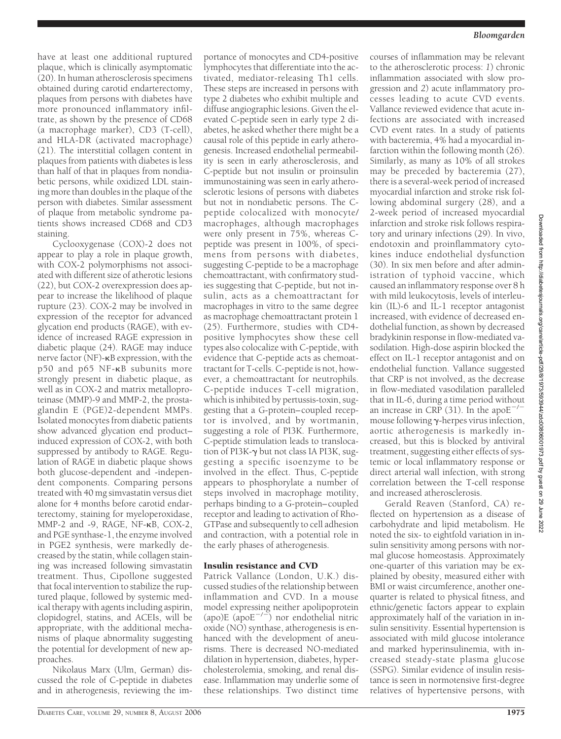have at least one additional ruptured plaque, which is clinically asymptomatic (20). In human atherosclerosis specimens obtained during carotid endarterectomy, plaques from persons with diabetes have more pronounced inflammatory infiltrate, as shown by the presence of CD68 (a macrophage marker), CD3 (T-cell), and HLA-DR (activated macrophage) (21). The interstitial collagen content in plaques from patients with diabetes is less than half of that in plaques from nondiabetic persons, while oxidized LDL staining more than doubles in the plaque of the person with diabetes. Similar assessment of plaque from metabolic syndrome patients shows increased CD68 and CD3 staining.

Cyclooxygenase (COX)-2 does not appear to play a role in plaque growth, with COX-2 polymorphisms not associated with different size of atherotic lesions (22), but COX-2 overexpression does appear to increase the likelihood of plaque rupture (23). COX-2 may be involved in expression of the receptor for advanced glycation end products (RAGE), with evidence of increased RAGE expression in diabetic plaque (24). RAGE may induce nerve factor (NF)- $\kappa$ B expression, with the p50 and p65 NF-KB subunits more strongly present in diabetic plaque, as well as in COX-2 and matrix metalloproteinase (MMP)-9 and MMP-2, the prostaglandin E (PGE)2-dependent MMPs. Isolated monocytes from diabetic patients show advanced glycation end product– induced expression of COX-2, with both suppressed by antibody to RAGE. Regulation of RAGE in diabetic plaque shows both glucose-dependent and -independent components. Comparing persons treated with 40 mg simvastatin versus diet alone for 4 months before carotid endarterectomy, staining for myeloperoxidase, MMP-2 and -9, RAGE,  $NF-\kappa B$ , COX-2, and PGE synthase-1, the enzyme involved in PGE2 synthesis, were markedly decreased by the statin, while collagen staining was increased following simvastatin treatment. Thus, Cipollone suggested that focal intervention to stabilize the ruptured plaque, followed by systemic medical therapy with agents including aspirin, clopidogrel, statins, and ACEIs, will be appropriate, with the additional mechanisms of plaque abnormality suggesting the potential for development of new approaches.

Nikolaus Marx (Ulm, German) discussed the role of C-peptide in diabetes and in atherogenesis, reviewing the im-

portance of monocytes and CD4-positive lymphocytes that differentiate into the activated, mediator-releasing Th1 cells. These steps are increased in persons with type 2 diabetes who exhibit multiple and diffuse angiographic lesions. Given the elevated C-peptide seen in early type 2 diabetes, he asked whether there might be a causal role of this peptide in early atherogenesis. Increased endothelial permeability is seen in early atherosclerosis, and C-peptide but not insulin or proinsulin immunostaining was seen in early atherosclerotic lesions of persons with diabetes but not in nondiabetic persons. The Cpeptide colocalized with monocyte/ macrophages, although macrophages were only present in 75%, whereas Cpeptide was present in 100%, of specimens from persons with diabetes, suggesting C-peptide to be a macrophage chemoattractant, with confirmatory studies suggesting that C-peptide, but not insulin, acts as a chemoattractant for macrophages in vitro to the same degree as macrophage chemoattractant protein 1 (25). Furthermore, studies with CD4 positive lymphocytes show these cell types also colocalize with C-peptide, with evidence that C-peptide acts as chemoattractant for T-cells. C-peptide is not, however, a chemoattractant for neutrophils. C-peptide induces T-cell migration, which is inhibited by pertussis-toxin, suggesting that a G-protein–coupled receptor is involved, and by wortmanin, suggesting a role of PI3K. Furthermore, C-peptide stimulation leads to translocation of PI3K- $\gamma$  but not class IA PI3K, suggesting a specific isoenzyme to be involved in the effect. Thus, C-peptide appears to phosphorylate a number of steps involved in macrophage motility, perhaps binding to a G-protein–coupled receptor and leading to activation of Rho-GTPase and subsequently to cell adhesion and contraction, with a potential role in the early phases of atherogenesis.

#### Insulin resistance and CVD

Patrick Vallance (London, U.K.) discussed studies of the relationship between inflammation and CVD. In a mouse model expressing neither apolipoprotein (apo)E (apo $E^{-/-}$ ) nor endothelial nitric oxide (NO) synthase, atherogenesis is enhanced with the development of aneurisms. There is decreased NO-mediated dilation in hypertension, diabetes, hypercholesterolemia, smoking, and renal disease. Inflammation may underlie some of these relationships. Two distinct time

### *Bloomgarden*

courses of inflammation may be relevant to the atherosclerotic process: *1*) chronic inflammation associated with slow progression and *2*) acute inflammatory processes leading to acute CVD events. Vallance reviewed evidence that acute infections are associated with increased CVD event rates. In a study of patients with bacteremia, 4% had a myocardial infarction within the following month (26). Similarly, as many as 10% of all strokes may be preceded by bacteremia (27), there is a several-week period of increased myocardial infarction and stroke risk following abdominal surgery (28), and a 2-week period of increased myocardial infarction and stroke risk follows respiratory and urinary infections (29). In vivo, endotoxin and proinflammatory cytokines induce endothelial dysfunction (30). In six men before and after administration of typhoid vaccine, which caused an inflammatory response over 8 h with mild leukocytosis, levels of interleukin (IL)-6 and IL-1 receptor antagonist increased, with evidence of decreased endothelial function, as shown by decreased bradykinin response in flow-mediated vasodilation. High-dose aspirin blocked the effect on IL-1 receptor antagonist and on endothelial function. Vallance suggested that CRP is not involved, as the decrease in flow-mediated vasodilation paralleled that in IL-6, during a time period without an increase in CRP (31). In the apo $E^{-/-}$ mouse following  $\gamma$ -herpes virus infection, aortic atherogenesis is markedly increased, but this is blocked by antiviral treatment, suggesting either effects of systemic or local inflammatory response or direct arterial wall infection, with strong correlation between the T-cell response and increased atherosclerosis.

Gerald Reaven (Stanford, CA) reflected on hypertension as a disease of carbohydrate and lipid metabolism. He noted the six- to eightfold variation in insulin sensitivity among persons with normal glucose homeostasis. Approximately one-quarter of this variation may be explained by obesity, measured either with BMI or waist circumference, another onequarter is related to physical fitness, and ethnic/genetic factors appear to explain approximately half of the variation in insulin sensitivity. Essential hypertension is associated with mild glucose intolerance and marked hyperinsulinemia, with increased steady-state plasma glucose (SSPG). Similar evidence of insulin resistance is seen in normotensive first-degree relatives of hypertensive persons, with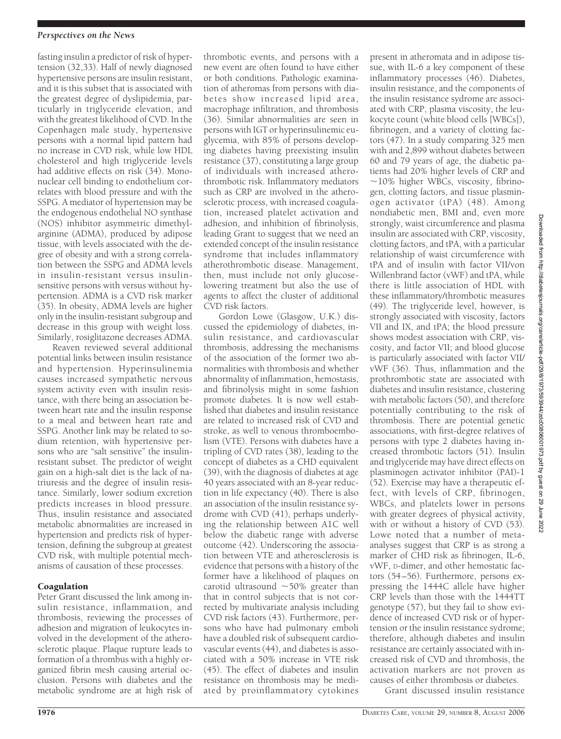fasting insulin a predictor of risk of hypertension (32,33). Half of newly diagnosed hypertensive persons are insulin resistant, and it is this subset that is associated with the greatest degree of dyslipidemia, particularly in triglyceride elevation, and with the greatest likelihood of CVD. In the Copenhagen male study, hypertensive persons with a normal lipid pattern had no increase in CVD risk, while low HDL cholesterol and high triglyceride levels had additive effects on risk (34). Mononuclear cell binding to endothelium correlates with blood pressure and with the SSPG. A mediator of hypertension may be the endogenous endothelial NO synthase (NOS) inhibitor asymmetric dimethylarginine (ADMA), produced by adipose tissue, with levels associated with the degree of obesity and with a strong correlation between the SSPG and ADMA levels in insulin-resistant versus insulinsensitive persons with versus without hypertension. ADMA is a CVD risk marker (35). In obesity, ADMA levels are higher only in the insulin-resistant subgroup and decrease in this group with weight loss. Similarly, rosiglitazone decreases ADMA.

Reaven reviewed several additional potential links between insulin resistance and hypertension. Hyperinsulinemia causes increased sympathetic nervous system activity even with insulin resistance, with there being an association between heart rate and the insulin response to a meal and between heart rate and SSPG. Another link may be related to sodium retention, with hypertensive persons who are "salt sensitive" the insulinresistant subset. The predictor of weight gain on a high-salt diet is the lack of natriuresis and the degree of insulin resistance. Similarly, lower sodium excretion predicts increases in blood pressure. Thus, insulin resistance and associated metabolic abnormalities are increased in hypertension and predicts risk of hypertension, defining the subgroup at greatest CVD risk, with multiple potential mechanisms of causation of these processes.

## Coagulation

Peter Grant discussed the link among insulin resistance, inflammation, and thrombosis, reviewing the processes of adhesion and migration of leukocytes involved in the development of the atherosclerotic plaque. Plaque rupture leads to formation of a thrombus with a highly organized fibrin mesh causing arterial occlusion. Persons with diabetes and the metabolic syndrome are at high risk of

thrombotic events, and persons with a new event are often found to have either or both conditions. Pathologic examination of atheromas from persons with diabetes show increased lipid area, macrophage infiltration, and thrombosis (36). Similar abnormalities are seen in persons with IGT or hyperinsulinemic euglycemia, with 85% of persons developing diabetes having preexisting insulin resistance (37), constituting a large group of individuals with increased atherothrombotic risk. Inflammatory mediators such as CRP are involved in the atherosclerotic process, with increased coagulation, increased platelet activation and adhesion, and inhibition of fibrinolysis, leading Grant to suggest that we need an extended concept of the insulin resistance syndrome that includes inflammatory atherothrombotic disease. Management, then, must include not only glucoselowering treatment but also the use of agents to affect the cluster of additional CVD risk factors.

Gordon Lowe (Glasgow, U.K.) discussed the epidemiology of diabetes, insulin resistance, and cardiovascular thrombosis, addressing the mechanisms of the association of the former two abnormalities with thrombosis and whether abnormality of inflammation, hemostasis, and fibrinolysis might in some fashion promote diabetes. It is now well established that diabetes and insulin resistance are related to increased risk of CVD and stroke, as well to venous thromboembolism (VTE). Persons with diabetes have a tripling of CVD rates (38), leading to the concept of diabetes as a CHD equivalent (39), with the diagnosis of diabetes at age 40 years associated with an 8-year reduction in life expectancy (40). There is also an association of the insulin resistance sydrome with CVD (41), perhaps underlying the relationship between A1C well below the diabetic range with adverse outcome (42). Underscoring the association between VTE and atherosclerosis is evidence that persons with a history of the former have a likelihood of plaques on carotid ultrasound  $\sim$  50% greater than that in control subjects that is not corrected by multivariate analysis including CVD risk factors (43). Furthermore, persons who have had pulmonary emboli have a doubled risk of subsequent cardiovascular events (44), and diabetes is associated with a 50% increase in VTE risk (45). The effect of diabetes and insulin resistance on thrombosis may be mediated by proinflammatory cytokines

present in atheromata and in adipose tissue, with IL-6 a key component of these inflammatory processes (46). Diabetes, insulin resistance, and the components of the insulin resistance sydrome are associated with CRP, plasma viscosity, the leukocyte count (white blood cells [WBCs]), fibrinogen, and a variety of clotting factors (47). In a study comparing 325 men with and 2,899 without diabetes between 60 and 79 years of age, the diabetic patients had 20% higher levels of CRP and  $\sim$ 10% higher WBCs, viscosity, fibrinogen, clotting factors, and tissue plasminogen activator (tPA) (48). Among nondiabetic men, BMI and, even more strongly, waist circumference and plasma insulin are associated with CRP, viscosity, clotting factors, and tPA, with a particular relationship of waist circumference with tPA and of insulin with factor VII/von Willenbrand factor (vWF) and tPA, while there is little association of HDL with these inflammatory/thrombotic measures (49). The triglyceride level, however, is strongly associated with viscosity, factors VII and IX, and tPA; the blood pressure shows modest association with CRP, viscosity, and factor VII; and blood glucose is particularly associated with factor VII/ vWF (36). Thus, inflammation and the prothrombotic state are associated with diabetes and insulin resistance, clustering with metabolic factors (50), and therefore potentially contributing to the risk of thrombosis. There are potential genetic associations, with first-degree relatives of persons with type 2 diabetes having increased thrombotic factors (51). Insulin and triglyceride may have direct effects on plasminogen activator inhibitor (PAI)-1 (52). Exercise may have a therapeutic effect, with levels of CRP, fibrinogen, WBCs, and platelets lower in persons with greater degrees of physical activity, with or without a history of CVD (53). Lowe noted that a number of metaanalyses suggest that CRP is as strong a marker of CHD risk as fibrinogen, IL-6, vWF, D-dimer, and other hemostatic factors (54–56). Furthermore, persons expressing the 1444C allele have higher CRP levels than those with the 1444TT genotype (57), but they fail to show evidence of increased CVD risk or of hypertension or the insulin resistance sydrome; therefore, although diabetes and insulin resistance are certainly associated with increased risk of CVD and thrombosis, the activation markers are not proven as causes of either thrombosis or diabetes.

Grant discussed insulin resistance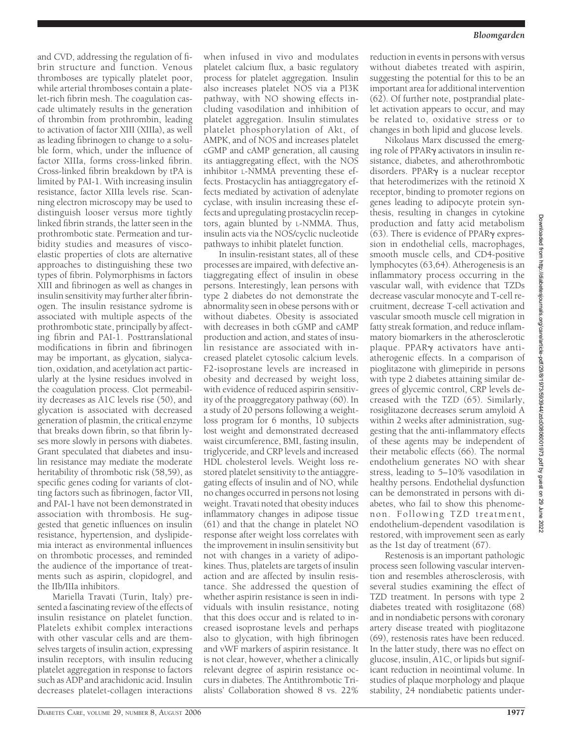and CVD, addressing the regulation of fibrin structure and function. Venous thromboses are typically platelet poor, while arterial thromboses contain a platelet-rich fibrin mesh. The coagulation cascade ultimately results in the generation of thrombin from prothrombin, leading to activation of factor XIII (XIIIa), as well as leading fibrinogen to change to a soluble form, which, under the influence of factor XIIIa, forms cross-linked fibrin. Cross-linked fibrin breakdown by tPA is limited by PAI-1. With increasing insulin resistance, factor XIIIa levels rise. Scanning electron microscopy may be used to distinguish looser versus more tightly linked fibrin strands, the latter seen in the prothrombotic state. Permeation and turbidity studies and measures of viscoelastic properties of clots are alternative approaches to distinguishing these two types of fibrin. Polymorphisms in factors XIII and fibrinogen as well as changes in insulin sensitivity may further alter fibrinogen. The insulin resistance sydrome is associated with multiple aspects of the prothrombotic state, principally by affecting fibrin and PAI-1. Posttranslational modifications in fibrin and fibrinogen may be important, as glycation, sialycation, oxidation, and acetylation act particularly at the lysine residues involved in the coagulation process. Clot permeability decreases as A1C levels rise (50), and glycation is associated with decreased generation of plasmin, the critical enzyme that breaks down fibrin, so that fibrin lyses more slowly in persons with diabetes. Grant speculated that diabetes and insulin resistance may mediate the moderate heritability of thrombotic risk (58,59), as specific genes coding for variants of clotting factors such as fibrinogen, factor VII, and PAI-1 have not been demonstrated in association with thrombosis. He suggested that genetic influences on insulin resistance, hypertension, and dyslipidemia interact as environmental influences on thrombotic processes, and reminded the audience of the importance of treatments such as aspirin, clopidogrel, and the IIb/IIIa inhibitors.

Mariella Travati (Turin, Italy) presented a fascinating review of the effects of insulin resistance on platelet function. Platelets exhibit complex interactions with other vascular cells and are themselves targets of insulin action, expressing insulin receptors, with insulin reducing platelet aggregation in response to factors such as ADP and arachidonic acid. Insulin decreases platelet-collagen interactions

when infused in vivo and modulates platelet calcium flux, a basic regulatory process for platelet aggregation. Insulin also increases platelet NOS via a PI3K pathway, with NO showing effects including vasodilation and inhibition of platelet aggregation. Insulin stimulates platelet phosphorylation of Akt, of AMPK, and of NOS and increases platelet cGMP and cAMP generation, all causing its antiaggregating effect, with the NOS inhibitor L-NMMA preventing these effects. Prostacyclin has antiaggregatory effects mediated by activation of adenylate cyclase, with insulin increasing these effects and upregulating prostacyclin receptors, again blunted by L-NMMA. Thus, insulin acts via the NOS/cyclic nucleotide pathways to inhibit platelet function.

In insulin-resistant states, all of these processes are impaired, with defective antiaggregating effect of insulin in obese persons. Interestingly, lean persons with type 2 diabetes do not demonstrate the abnormality seen in obese persons with or without diabetes. Obesity is associated with decreases in both cGMP and cAMP production and action, and states of insulin resistance are associated with increased platelet cytosolic calcium levels. F2-isoprostane levels are increased in obesity and decreased by weight loss, with evidence of reduced aspirin sensitivity of the proaggregatory pathway (60). In a study of 20 persons following a weightloss program for 6 months, 10 subjects lost weight and demonstrated decreased waist circumference, BMI, fasting insulin, triglyceride, and CRP levels and increased HDL cholesterol levels. Weight loss restored platelet sensitivity to the antiaggregating effects of insulin and of NO, while no changes occurred in persons not losing weight. Travati noted that obesity induces inflammatory changes in adipose tissue (61) and that the change in platelet NO response after weight loss correlates with the improvement in insulin sensitivity but not with changes in a variety of adipokines. Thus, platelets are targets of insulin action and are affected by insulin resistance. She addressed the question of whether aspirin resistance is seen in individuals with insulin resistance, noting that this does occur and is related to increased isoprostane levels and perhaps also to glycation, with high fibrinogen and vWF markers of aspirin resistance. It is not clear, however, whether a clinically relevant degree of aspirin resistance occurs in diabetes. The Antithrombotic Trialists' Collaboration showed 8 vs. 22%

reduction in events in persons with versus without diabetes treated with aspirin, suggesting the potential for this to be an important area for additional intervention (62). Of further note, postprandial platelet activation appears to occur, and may be related to, oxidative stress or to changes in both lipid and glucose levels.

Nikolaus Marx discussed the emerging role of PPAR $\gamma$  activators in insulin resistance, diabetes, and atherothrombotic disorders. PPAR<sub>y</sub> is a nuclear receptor that heterodimerizes with the retinoid X receptor, binding to promoter regions on genes leading to adipocyte protein synthesis, resulting in changes in cytokine production and fatty acid metabolism  $(63)$ . There is evidence of PPAR $\gamma$  expression in endothelial cells, macrophages, smooth muscle cells, and CD4-positive lymphocytes (63,64). Atherogenesis is an inflammatory process occurring in the vascular wall, with evidence that TZDs decrease vascular monocyte and T-cell recruitment, decrease T-cell activation and vascular smooth muscle cell migration in fatty streak formation, and reduce inflammatory biomarkers in the atherosclerotic plaque. PPARy activators have antiatherogenic effects. In a comparison of pioglitazone with glimepiride in persons with type 2 diabetes attaining similar degrees of glycemic control, CRP levels decreased with the TZD (65). Similarly, rosiglitazone decreases serum amyloid A within 2 weeks after administration, suggesting that the anti-inflammatory effects of these agents may be independent of their metabolic effects (66). The normal endothelium generates NO with shear stress, leading to 5–10% vasodilation in healthy persons. Endothelial dysfunction can be demonstrated in persons with diabetes, who fail to show this phenomenon. Following TZD treatment, endothelium-dependent vasodilation is restored, with improvement seen as early as the 1st day of treatment (67).

Restenosis is an important pathologic process seen following vascular intervention and resembles atherosclerosis, with several studies examining the effect of TZD treatment. In persons with type 2 diabetes treated with rosiglitazone (68) and in nondiabetic persons with coronary artery disease treated with pioglitazone (69), restenosis rates have been reduced. In the latter study, there was no effect on glucose, insulin, A1C, or lipids but significant reduction in neointimal volume. In studies of plaque morphology and plaque stability, 24 nondiabetic patients under-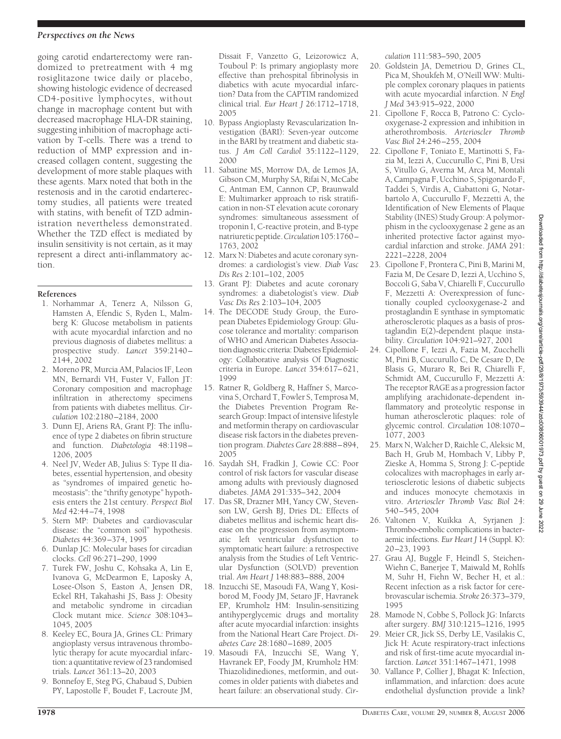going carotid endarterectomy were randomized to pretreatment with 4 mg rosiglitazone twice daily or placebo, showing histologic evidence of decreased CD4-positive lymphocytes, without change in macrophage content but with decreased macrophage HLA-DR staining, suggesting inhibition of macrophage activation by T-cells. There was a trend to reduction of MMP expression and increased collagen content, suggesting the development of more stable plaques with these agents. Marx noted that both in the restenosis and in the carotid endarterectomy studies, all patients were treated with statins, with benefit of TZD administration nevertheless demonstrated. Whether the TZD effect is mediated by insulin sensitivity is not certain, as it may represent a direct anti-inflammatory action.

#### **References**

- 1. Norhammar A, Tenerz A, Nilsson G, Hamsten A, Efendic S, Ryden L, Malmberg K: Glucose metabolism in patients with acute myocardial infarction and no previous diagnosis of diabetes mellitus: a prospective study. *Lancet* 359:2140-2144, 2002
- 2. Moreno PR, Murcia AM, Palacios IF, Leon MN, Bernardi VH, Fuster V, Fallon JT: Coronary composition and macrophage infiltration in atherectomy specimens from patients with diabetes mellitus. *Circulation* 102:2180–2184, 2000
- 3. Dunn EJ, Ariens RA, Grant PJ: The influence of type 2 diabetes on fibrin structure and function. *Diabetologia* 48:1198– 1206, 2005
- 4. Neel JV, Weder AB, Julius S: Type II diabetes, essential hypertension, and obesity as "syndromes of impaired genetic homeostasis": the "thrifty genotype" hypothesis enters the 21st century. *Perspect Biol Med* 42:44–74, 1998
- 5. Stern MP: Diabetes and cardiovascular disease: the "common soil" hypothesis. *Diabetes* 44:369–374, 1995
- 6. Dunlap JC: Molecular bases for circadian clocks. *Cell* 96:271–290, 1999
- 7. Turek FW, Joshu C, Kohsaka A, Lin E, Ivanova G, McDearmon E, Laposky A, Losee-Olson S, Easton A, Jensen DR, Eckel RH, Takahashi JS, Bass J: Obesity and metabolic syndrome in circadian Clock mutant mice. *Science* 308:1043– 1045, 2005
- 8. Keeley EC, Boura JA, Grines CL: Primary angioplasty versus intravenous thrombolytic therapy for acute myocardial infarction: a quantitative review of 23 randomised trials. *Lancet* 361:13–20, 2003
- 9. Bonnefoy E, Steg PG, Chabaud S, Dubien PY, Lapostolle F, Boudet F, Lacroute JM,

Dissait F, Vanzetto G, Leizorowicz A, Touboul P: Is primary angioplasty more effective than prehospital fibrinolysis in diabetics with acute myocardial infarction? Data from the CAPTIM randomized clinical trial. *Eur Heart J* 26:1712–1718, 2005

- 10. Bypass Angioplasty Revascularization Investigation (BARI): Seven-year outcome in the BARI by treatment and diabetic status. *J Am Coll Cardiol* 35:1122–1129, 2000
- 11. Sabatine MS, Morrow DA, de Lemos JA, Gibson CM, Murphy SA, Rifai N, McCabe C, Antman EM, Cannon CP, Braunwald E: Multimarker approach to risk stratification in non-ST elevation acute coronary syndromes: simultaneous assessment of troponin I, C-reactive protein, and B-type natriureticpeptide.*Circulation*105:1760– 1763, 2002
- 12. Marx N: Diabetes and acute coronary syndromes: a cardiologist's view. *Diab Vasc Dis Res* 2:101–102, 2005
- 13. Grant PJ: Diabetes and acute coronary syndromes: a diabetologist's view. *Diab Vasc Dis Res* 2:103–104, 2005
- 14. The DECODE Study Group, the European Diabetes Epidemiology Group: Glucose tolerance and mortality: comparison of WHO and American Diabetes Association diagnostic criteria: Diabetes Epidemiology: Collaborative analysis Of Diagnostic criteria in Europe. *Lancet* 354:617–621, 1999
- 15. Ratner R, Goldberg R, Haffner S, Marcovina S, Orchard T, Fowler S, Temprosa M, the Diabetes Prevention Program Research Group: Impact of intensive lifestyle and metformin therapy on cardiovascular disease risk factors in the diabetes prevention program. *Diabetes Care* 28:888–894, 2005
- 16. Saydah SH, Fradkin J, Cowie CC: Poor control of risk factors for vascular disease among adults with previously diagnosed diabetes. *JAMA* 291:335–342, 2004
- 17. Das SR, Drazner MH, Yancy CW, Stevenson LW, Gersh BJ, Dries DL: Effects of diabetes mellitus and ischemic heart disease on the progression from asymptomatic left ventricular dysfunction to symptomatic heart failure: a retrospective analysis from the Studies of Left Ventricular Dysfunction (SOLVD) prevention trial. *Am Heart J* 148:883–888, 2004
- 18. Inzucchi SE, Masoudi FA, Wang Y, Kosiborod M, Foody JM, Setaro JF, Havranek EP, Krumholz HM: Insulin-sensitizing antihyperglycemic drugs and mortality after acute myocardial infarction: insights from the National Heart Care Project. *Diabetes Care* 28:1680–1689, 2005
- 19. Masoudi FA, Inzucchi SE, Wang Y, Havranek EP, Foody JM, Krumholz HM: Thiazolidinediones, metformin, and outcomes in older patients with diabetes and heart failure: an observational study. *Cir-*

*culation* 111:583–590, 2005

- 20. Goldstein JA, Demetriou D, Grines CL, Pica M, Shoukfeh M, O'Neill WW: Multiple complex coronary plaques in patients with acute myocardial infarction. *N Engl J Med* 343:915–922, 2000
- 21. Cipollone F, Rocca B, Patrono C: Cyclooxygenase-2 expression and inhibition in atherothrombosis. *Arterioscler Thromb Vasc Biol* 24:246–255, 2004
- 22. Cipollone F, Toniato E, Martinotti S, Fazia M, Iezzi A, Cuccurullo C, Pini B, Ursi S, Vitullo G, Averna M, Arca M, Montali A, Campagna F, Ucchino S, Spigonardo F, Taddei S, Virdis A, Ciabattoni G, Notarbartolo A, Cuccurullo F, Mezzetti A, the Identification of New Elements of Plaque Stability (INES) Study Group: A polymorphism in the cyclooxygenase 2 gene as an inherited protective factor against myocardial infarction and stroke. *JAMA* 291: 2221–2228, 2004
- 23. Cipollone F, Prontera C, Pini B, Marini M, Fazia M, De Cesare D, Iezzi A, Ucchino S, Boccoli G, Saba V, Chiarelli F, Cuccurullo F, Mezzetti A: Overexpression of functionally coupled cyclooxygenase-2 and prostaglandin E synthase in symptomatic atherosclerotic plaques as a basis of prostaglandin E(2)-dependent plaque instability. *Circulation* 104:921–927, 2001
- 24. Cipollone F, Iezzi A, Fazia M, Zucchelli M, Pini B, Cuccurullo C, De Cesare D, De Blasis G, Muraro R, Bei R, Chiarelli F, Schmidt AM, Cuccurullo F, Mezzetti A: The receptor RAGE as a progression factor amplifying arachidonate-dependent inflammatory and proteolytic response in human atherosclerotic plaques: role of glycemic control. *Circulation* 108:1070– 1077, 2003
- 25. Marx N, Walcher D, Raichle C, Aleksic M, Bach H, Grub M, Hombach V, Libby P, Zieske A, Homma S, Strong J: C-peptide colocalizes with macrophages in early arteriosclerotic lesions of diabetic subjects and induces monocyte chemotaxis in vitro. *Arterioscler Thromb Vasc Biol* 24: 540–545, 2004
- 26. Valtonen V, Kuikka A, Syrjanen J: Thrombo-embolic complications in bacteraemic infections. *Eur Heart J* 14 (Suppl. K): 20–23, 1993
- 27. Grau AJ, Buggle F, Heindl S, Steichen-Wiehn C, Banerjee T, Maiwald M, Rohlfs M, Suhr H, Fiehn W, Becher H, et al.: Recent infection as a risk factor for cerebrovascular ischemia. *Stroke* 26:373–379, 1995
- 28. Mamode N, Cobbe S, Pollock JG: Infarcts after surgery. *BMJ* 310:1215–1216, 1995
- 29. Meier CR, Jick SS, Derby LE, Vasilakis C, Jick H: Acute respiratory-tract infections and risk of first-time acute myocardial infarction. *Lancet* 351:1467–1471, 1998
- 30. Vallance P, Collier J, Bhagat K: Infection, inflammation, and infarction: does acute endothelial dysfunction provide a link?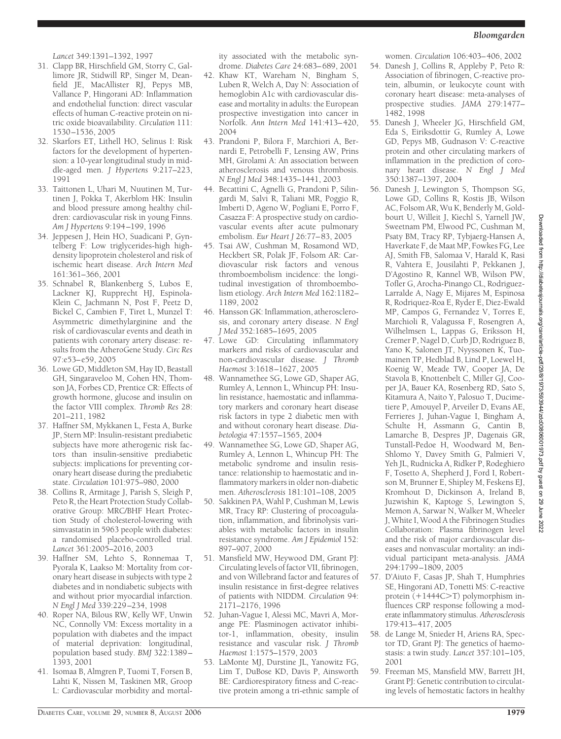*Lancet* 349:1391–1392, 1997

- 31. Clapp BR, Hirschfield GM, Storry C, Gallimore JR, Stidwill RP, Singer M, Deanfield JE, MacAllister RJ, Pepys MB, Vallance P, Hingorani AD: Inflammation and endothelial function: direct vascular effects of human C-reactive protein on nitric oxide bioavailability. *Circulation* 111: 1530–1536, 2005
- 32. Skarfors ET, Lithell HO, Selinus I: Risk factors for the development of hypertension: a 10-year longitudinal study in middle-aged men. *J Hypertens* 9:217–223, 1991
- 33. Taittonen L, Uhari M, Nuutinen M, Turtinen J, Pokka T, Akerblom HK: Insulin and blood pressure among healthy children: cardiovascular risk in young Finns. *Am J Hypertens* 9:194–199, 1996
- 34. Jeppesen J, Hein HO, Suadicani P, Gyntelberg F: Low triglycerides-high highdensity lipoprotein cholesterol and risk of ischemic heart disease. *Arch Intern Med* 161:361–366, 2001
- 35. Schnabel R, Blankenberg S, Lubos E, Lackner KJ, Rupprecht HJ, Espinola-Klein C, Jachmann N, Post F, Peetz D, Bickel C, Cambien F, Tiret L, Munzel T: Asymmetric dimethylarginine and the risk of cardiovascular events and death in patients with coronary artery disease: results from the AtheroGene Study. *Circ Res* 97:e53–e59, 2005
- 36. Lowe GD, Middleton SM, Hay ID, Beastall GH, Singaraveloo M, Cohen HN, Thomson JA, Forbes CD, Prentice CR: Effects of growth hormone, glucose and insulin on the factor VIII complex. *Thromb Res* 28: 201–211, 1982
- 37. Haffner SM, Mykkanen L, Festa A, Burke JP, Stern MP: Insulin-resistant prediabetic subjects have more atherogenic risk factors than insulin-sensitive prediabetic subjects: implications for preventing coronary heart disease during the prediabetic state. *Circulation* 101:975–980, 2000
- 38. Collins R, Armitage J, Parish S, Sleigh P, Peto R, the Heart Protection Study Collaborative Group: MRC/BHF Heart Protection Study of cholesterol-lowering with simvastatin in 5963 people with diabetes: a randomised placebo-controlled trial. *Lancet* 361:2005–2016, 2003
- 39. Haffner SM, Lehto S, Ronnemaa T, Pyorala K, Laakso M: Mortality from coronary heart disease in subjects with type 2 diabetes and in nondiabetic subjects with and without prior myocardial infarction. *N Engl J Med* 339:229–234, 1998
- 40. Roper NA, Bilous RW, Kelly WF, Unwin NC, Connolly VM: Excess mortality in a population with diabetes and the impact of material deprivation: longitudinal, population based study. *BMJ* 322:1389– 1393, 2001
- 41. Isomaa B, Almgren P, Tuomi T, Forsen B, Lahti K, Nissen M, Taskinen MR, Groop L: Cardiovascular morbidity and mortal-

ity associated with the metabolic syndrome. *Diabetes Care* 24:683–689, 2001

- 42. Khaw KT, Wareham N, Bingham S, Luben R, Welch A, Day N: Association of hemoglobin A1c with cardiovascular disease and mortality in adults: the European prospective investigation into cancer in Norfolk. *Ann Intern Med* 141:413–420, 2004
- 43. Prandoni P, Bilora F, Marchiori A, Bernardi E, Petrobelli F, Lensing AW, Prins MH, Girolami A: An association between atherosclerosis and venous thrombosis. *N Engl J Med* 348:1435–1441, 2003
- 44. Becattini C, Agnelli G, Prandoni P, Silingardi M, Salvi R, Taliani MR, Poggio R, Imberti D, Ageno W, Pogliani E, Porro F, Casazza F: A prospective study on cardiovascular events after acute pulmonary embolism. *Eur Heart J* 26:77–83, 2005
- 45. Tsai AW, Cushman M, Rosamond WD, Heckbert SR, Polak JF, Folsom AR: Cardiovascular risk factors and venous thromboembolism incidence: the longitudinal investigation of thromboembolism etiology. *Arch Intern Med* 162:1182– 1189, 2002
- 46. Hansson GK: Inflammation, atherosclerosis, and coronary artery disease. *N Engl J Med* 352:1685–1695, 2005
- 47. Lowe GD: Circulating inflammatory markers and risks of cardiovascular and non-cardiovascular disease. *J Thromb Haemost* 3:1618–1627, 2005
- 48. Wannamethee SG, Lowe GD, Shaper AG, Rumley A, Lennon L, Whincup PH: Insulin resistance, haemostatic and inflammatory markers and coronary heart disease risk factors in type 2 diabetic men with and without coronary heart disease. *Diabetologia* 47:1557–1565, 2004
- 49. Wannamethee SG, Lowe GD, Shaper AG, Rumley A, Lennon L, Whincup PH: The metabolic syndrome and insulin resistance: relationship to haemostatic and inflammatory markers in older non-diabetic men. *Atherosclerosis* 181:101–108, 2005
- 50. Sakkinen PA, Wahl P, Cushman M, Lewis MR, Tracy RP: Clustering of procoagulation, inflammation, and fibrinolysis variables with metabolic factors in insulin resistance syndrome. *Am J Epidemiol* 152: 897–907, 2000
- 51. Mansfield MW, Heywood DM, Grant PJ: Circulating levels of factor VII, fibrinogen, and von Willebrand factor and features of insulin resistance in first-degree relatives of patients with NIDDM. *Circulation* 94: 2171–2176, 1996
- 52. Juhan-Vague I, Alessi MC, Mavri A, Morange PE: Plasminogen activator inhibitor-1, inflammation, obesity, insulin resistance and vascular risk. *J Thromb Haemost* 1:1575–1579, 2003
- 53. LaMonte MJ, Durstine JL, Yanowitz FG, Lim T, DuBose KD, Davis P, Ainsworth BE: Cardiorespiratory fitness and C-reactive protein among a tri-ethnic sample of

women. *Circulation* 106:403–406, 2002

- 54. Danesh J, Collins R, Appleby P, Peto R: Association of fibrinogen, C-reactive protein, albumin, or leukocyte count with coronary heart disease: meta-analyses of prospective studies. *JAMA* 279:1477– 1482, 1998
- 55. Danesh J, Wheeler JG, Hirschfield GM, Eda S, Eiriksdottir G, Rumley A, Lowe GD, Pepys MB, Gudnason V: C-reactive protein and other circulating markers of inflammation in the prediction of coronary heart disease. *N Engl J Med* 350:1387–1397, 2004
- 56. Danesh J, Lewington S, Thompson SG, Lowe GD, Collins R, Kostis JB, Wilson AC, Folsom AR, Wu K, Benderly M, Goldbourt U, Willeit J, Kiechl S, Yarnell JW, Sweetnam PM, Elwood PC, Cushman M, Psaty BM, Tracy RP, Tybjaerg-Hansen A, Haverkate F, de Maat MP, Fowkes FG, Lee AJ, Smith FB, Salomaa V, Harald K, Rasi R, Vahtera E, Jousilahti P, Pekkanen J, D'Agostino R, Kannel WB, Wilson PW, Tofler G, Arocha-Pinango CL, Rodriguez-Larralde A, Nagy E, Mijares M, Espinosa R, Rodriquez-Roa E, Ryder E, Diez-Ewald MP, Campos G, Fernandez V, Torres E, Marchioli R, Valagussa F, Rosengren A, Wilhelmsen L, Lappas G, Eriksson H, Cremer P, Nagel D, Curb JD, Rodriguez B, Yano K, Salonen JT, Nyyssonen K, Tuomainen TP, Hedblad B, Lind P, Loewel H, Koenig W, Meade TW, Cooper JA, De Stavola B, Knottenbelt C, Miller GJ, Cooper JA, Bauer KA, Rosenberg RD, Sato S, Kitamura A, Naito Y, Palosuo T, Ducimetiere P, Amouyel P, Arveiler D, Evans AE, Ferrieres J, Juhan-Vague I, Bingham A, Schulte H, Assmann G, Cantin B, Lamarche B, Despres JP, Dagenais GR, Tunstall-Pedoe H, Woodward M, Ben-Shlomo Y, Davey Smith G, Palmieri V, Yeh JL, Rudnicka A, Ridker P, Rodeghiero F, Tosetto A, Shepherd J, Ford I, Robertson M, Brunner E, Shipley M, Feskens EJ, Kromhout D, Dickinson A, Ireland B, Juzwishin K, Kaptoge S, Lewington S, Memon A, Sarwar N, Walker M, Wheeler J, White I, Wood A the Fibrinogen Studies Collaboration: Plasma fibrinogen level and the risk of major cardiovascular diseases and nonvascular mortality: an individual participant meta-analysis. *JAMA* 294:1799–1809, 2005
- 57. D'Aiuto F, Casas JP, Shah T, Humphries SE, Hingorani AD, Tonetti MS: C-reactive protein  $(+1444C>T)$  polymorphism influences CRP response following a moderate inflammatory stimulus. *Atherosclerosis* 179:413–417, 2005
- 58. de Lange M, Snieder H, Ariens RA, Spector TD, Grant PJ: The genetics of haemostasis: a twin study. *Lancet* 357:101–105, 2001
- 59. Freeman MS, Mansfield MW, Barrett JH, Grant PJ: Genetic contribution to circulating levels of hemostatic factors in healthy